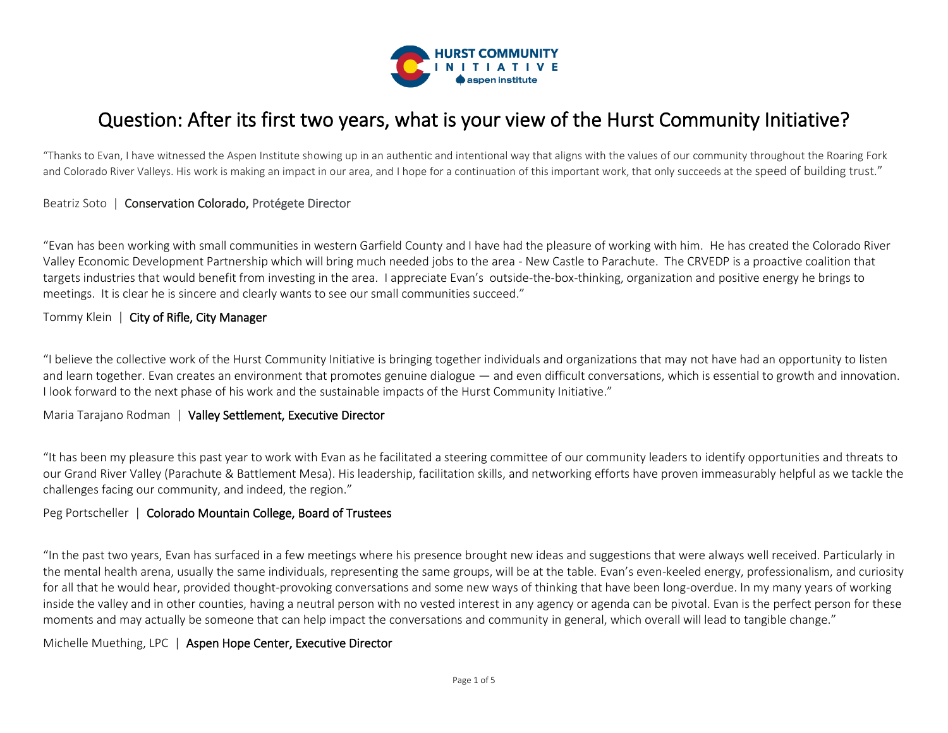

# Question: After its first two years, what is your view of the Hurst Community Initiative?

"Thanks to Evan, I have witnessed the Aspen Institute showing up in an authentic and intentional way that aligns with the values of our community throughout the Roaring Fork and Colorado River Valleys. His work is making an impact in our area, and I hope for a continuation of this important work, that only succeeds at the speed of building trust."

# Beatriz Soto | Conservation Colorado, Protégete Director

"Evan has been working with small communities in western Garfield County and I have had the pleasure of working with him. He has created the Colorado River Valley Economic Development Partnership which will bring much needed jobs to the area - New Castle to Parachute. The CRVEDP is a proactive coalition that targets industries that would benefit from investing in the area. I appreciate Evan's outside-the-box-thinking, organization and positive energy he brings to meetings. It is clear he is sincere and clearly wants to see our small communities succeed."

# Tommy Klein | City of Rifle, City Manager

"I believe the collective work of the Hurst Community Initiative is bringing together individuals and organizations that may not have had an opportunity to listen and learn together. Evan creates an environment that promotes genuine dialogue — and even difficult conversations, which is essential to growth and innovation. I look forward to the next phase of his work and the sustainable impacts of the Hurst Community Initiative."

#### Maria Tarajano Rodman | Valley Settlement, Executive Director

"It has been my pleasure this past year to work with Evan as he facilitated a steering committee of our community leaders to identify opportunities and threats to our Grand River Valley (Parachute & Battlement Mesa). His leadership, facilitation skills, and networking efforts have proven immeasurably helpful as we tackle the challenges facing our community, and indeed, the region."

#### Peg Portscheller | Colorado Mountain College, Board of Trustees

"In the past two years, Evan has surfaced in a few meetings where his presence brought new ideas and suggestions that were always well received. Particularly in the mental health arena, usually the same individuals, representing the same groups, will be at the table. Evan's even-keeled energy, professionalism, and curiosity for all that he would hear, provided thought-provoking conversations and some new ways of thinking that have been long-overdue. In my many years of working inside the valley and in other counties, having a neutral person with no vested interest in any agency or agenda can be pivotal. Evan is the perfect person for these moments and may actually be someone that can help impact the conversations and community in general, which overall will lead to tangible change."

#### Michelle Muething, LPC | Aspen Hope Center, Executive Director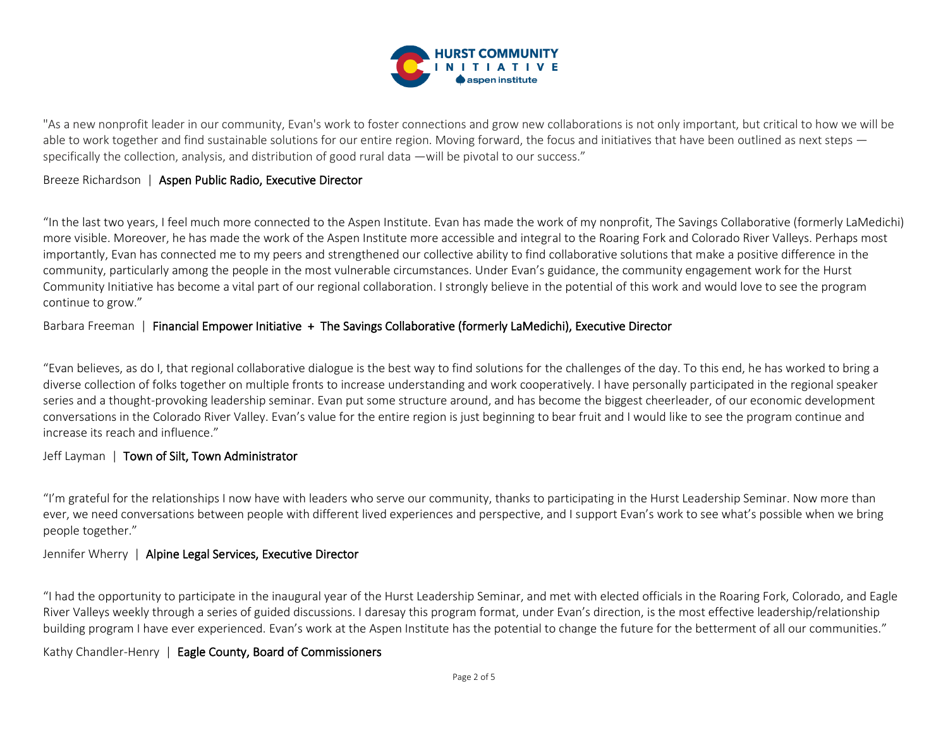

"As a new nonprofit leader in our community, Evan's work to foster connections and grow new collaborations is not only important, but critical to how we will be able to work together and find sustainable solutions for our entire region. Moving forward, the focus and initiatives that have been outlined as next steps specifically the collection, analysis, and distribution of good rural data —will be pivotal to our success."

# Breeze Richardson | Aspen Public Radio, Executive Director

"In the last two years, I feel much more connected to the Aspen Institute. Evan has made the work of my nonprofit, The Savings Collaborative (formerly LaMedichi) more visible. Moreover, he has made the work of the Aspen Institute more accessible and integral to the Roaring Fork and Colorado River Valleys. Perhaps most importantly, Evan has connected me to my peers and strengthened our collective ability to find collaborative solutions that make a positive difference in the community, particularly among the people in the most vulnerable circumstances. Under Evan's guidance, the community engagement work for the Hurst Community Initiative has become a vital part of our regional collaboration. I strongly believe in the potential of this work and would love to see the program continue to grow."

# Barbara Freeman | Financial Empower Initiative + The Savings Collaborative (formerly LaMedichi), Executive Director

"Evan believes, as do I, that regional collaborative dialogue is the best way to find solutions for the challenges of the day. To this end, he has worked to bring a diverse collection of folks together on multiple fronts to increase understanding and work cooperatively. I have personally participated in the regional speaker series and a thought-provoking leadership seminar. Evan put some structure around, and has become the biggest cheerleader, of our economic development conversations in the Colorado River Valley. Evan's value for the entire region is just beginning to bear fruit and I would like to see the program continue and increase its reach and influence."

# Jeff Layman | Town of Silt, Town Administrator

"I'm grateful for the relationships I now have with leaders who serve our community, thanks to participating in the Hurst Leadership Seminar. Now more than ever, we need conversations between people with different lived experiences and perspective, and I support Evan's work to see what's possible when we bring people together."

#### Jennifer Wherry | Alpine Legal Services, Executive Director

"I had the opportunity to participate in the inaugural year of the Hurst Leadership Seminar, and met with elected officials in the Roaring Fork, Colorado, and Eagle River Valleys weekly through a series of guided discussions. I daresay this program format, under Evan's direction, is the most effective leadership/relationship building program I have ever experienced. Evan's work at the Aspen Institute has the potential to change the future for the betterment of all our communities."

# Kathy Chandler-Henry | Eagle County, Board of Commissioners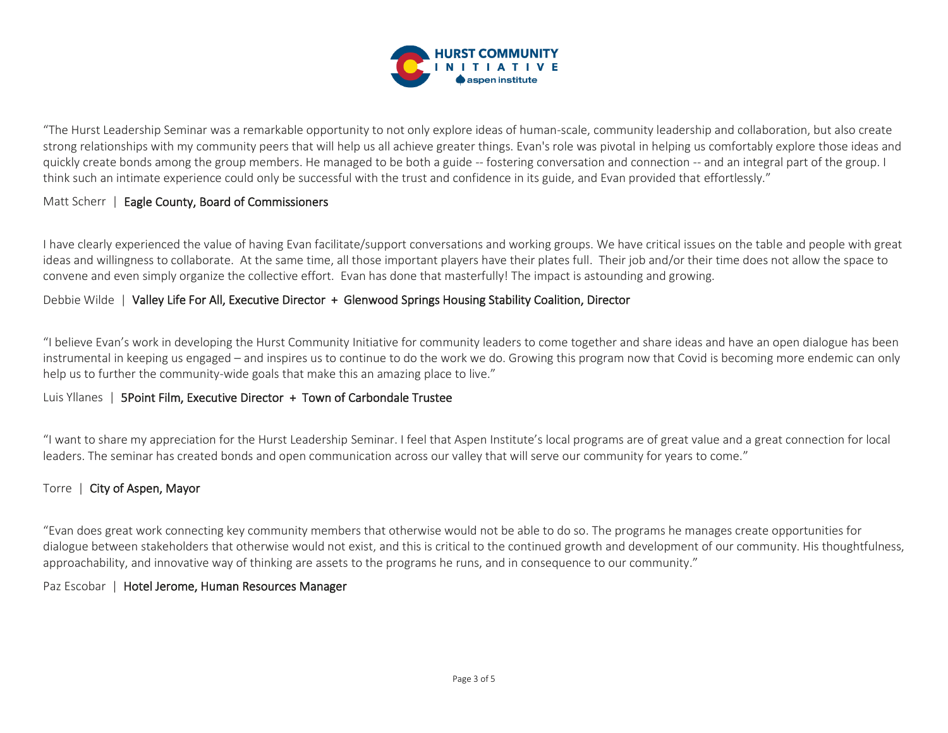

"The Hurst Leadership Seminar was a remarkable opportunity to not only explore ideas of human-scale, community leadership and collaboration, but also create strong relationships with my community peers that will help us all achieve greater things. Evan's role was pivotal in helping us comfortably explore those ideas and quickly create bonds among the group members. He managed to be both a guide -- fostering conversation and connection -- and an integral part of the group. I think such an intimate experience could only be successful with the trust and confidence in its guide, and Evan provided that effortlessly."

# Matt Scherr | Eagle County, Board of Commissioners

I have clearly experienced the value of having Evan facilitate/support conversations and working groups. We have critical issues on the table and people with great ideas and willingness to collaborate. At the same time, all those important players have their plates full. Their job and/or their time does not allow the space to convene and even simply organize the collective effort. Evan has done that masterfully! The impact is astounding and growing.

# Debbie Wilde | Valley Life For All, Executive Director + Glenwood Springs Housing Stability Coalition, Director

"I believe Evan's work in developing the Hurst Community Initiative for community leaders to come together and share ideas and have an open dialogue has been instrumental in keeping us engaged – and inspires us to continue to do the work we do. Growing this program now that Covid is becoming more endemic can only help us to further the community-wide goals that make this an amazing place to live."

#### Luis Yllanes | 5Point Film, Executive Director + Town of Carbondale Trustee

"I want to share my appreciation for the Hurst Leadership Seminar. I feel that Aspen Institute's local programs are of great value and a great connection for local leaders. The seminar has created bonds and open communication across our valley that will serve our community for years to come."

## Torre | City of Aspen, Mayor

"Evan does great work connecting key community members that otherwise would not be able to do so. The programs he manages create opportunities for dialogue between stakeholders that otherwise would not exist, and this is critical to the continued growth and development of our community. His thoughtfulness, approachability, and innovative way of thinking are assets to the programs he runs, and in consequence to our community."

#### Paz Escobar | Hotel Jerome, Human Resources Manager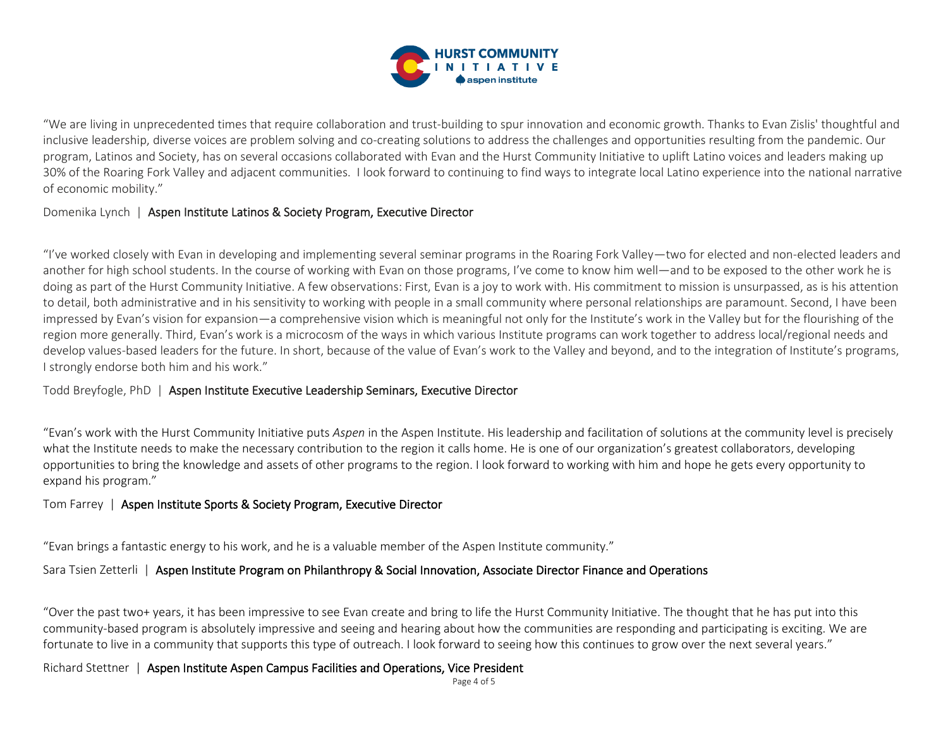

"We are living in unprecedented times that require collaboration and trust-building to spur innovation and economic growth. Thanks to Evan Zislis' thoughtful and inclusive leadership, diverse voices are problem solving and co-creating solutions to address the challenges and opportunities resulting from the pandemic. Our program, Latinos and Society, has on several occasions collaborated with Evan and the Hurst Community Initiative to uplift Latino voices and leaders making up 30% of the Roaring Fork Valley and adjacent communities. I look forward to continuing to find ways to integrate local Latino experience into the national narrative of economic mobility."

# Domenika Lynch | Aspen Institute Latinos & Society Program, Executive Director

"I've worked closely with Evan in developing and implementing several seminar programs in the Roaring Fork Valley—two for elected and non-elected leaders and another for high school students. In the course of working with Evan on those programs, I've come to know him well—and to be exposed to the other work he is doing as part of the Hurst Community Initiative. A few observations: First, Evan is a joy to work with. His commitment to mission is unsurpassed, as is his attention to detail, both administrative and in his sensitivity to working with people in a small community where personal relationships are paramount. Second, I have been impressed by Evan's vision for expansion—a comprehensive vision which is meaningful not only for the Institute's work in the Valley but for the flourishing of the region more generally. Third, Evan's work is a microcosm of the ways in which various Institute programs can work together to address local/regional needs and develop values-based leaders for the future. In short, because of the value of Evan's work to the Valley and beyond, and to the integration of Institute's programs, I strongly endorse both him and his work."

Todd Breyfogle, PhD | Aspen Institute Executive Leadership Seminars, Executive Director

"Evan's work with the Hurst Community Initiative puts *Aspen* in the Aspen Institute. His leadership and facilitation of solutions at the community level is precisely what the Institute needs to make the necessary contribution to the region it calls home. He is one of our organization's greatest collaborators, developing opportunities to bring the knowledge and assets of other programs to the region. I look forward to working with him and hope he gets every opportunity to expand his program."

# Tom Farrey | Aspen Institute Sports & Society Program, Executive Director

"Evan brings a fantastic energy to his work, and he is a valuable member of the Aspen Institute community."

# Sara Tsien Zetterli | Aspen Institute Program on Philanthropy & Social Innovation, Associate Director Finance and Operations

"Over the past two+ years, it has been impressive to see Evan create and bring to life the Hurst Community Initiative. The thought that he has put into this community-based program is absolutely impressive and seeing and hearing about how the communities are responding and participating is exciting. We are fortunate to live in a community that supports this type of outreach. I look forward to seeing how this continues to grow over the next several years."

Richard Stettner | Aspen Institute Aspen Campus Facilities and Operations, Vice President